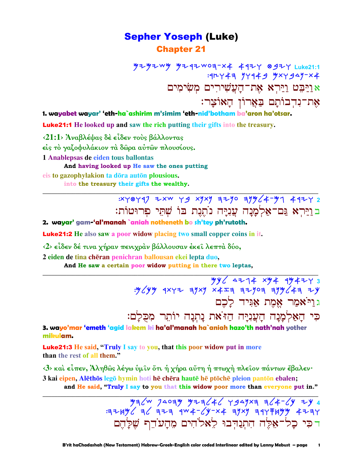## **Sepher Yoseph (Luke) Chapter 21**

**ツモツモWツ ツモ 9モW0ヨ-×キ キ 9モ 8タモ Luke21:1** אַרַיִּבָט רַיַּרְא<mark>ָ אֶת־</mark>חָעֲשִׁירִים מִשְׂימִים אַת־נִדְבוֹתָם בַּאֲרוֹן הָאוֹצָר:

1. wayabet wayar' 'eth-ha`ashirim m'simim 'eth-nid'botham ba'aron ha'otsar.

**Luke21:1** He looked up and saw the rich putting their gifts into the treasury.

<21:1> Άναβλέψας δε είδεν τους βάλλοντας

είς το γαζοφυλάκιον τα δώρα αύτων πλουσίους.

1 Anablepsas de eiden tous ballontas

And having looked up He saw the ones putting eis to gazophylakion ta dōra autōn plousious.

into the treasury their gifts the wealthy.

: XY0Y47 ZXW Y9 XYXY 72YO 77464-47 492Y 2 בוַיַּרִא גַּם־אַלְמָנָה עֲנְיַּה נוֹתֲנֶת בּוֹ שִׁתֵּי פִרוּטוֹת:

2. wayar' gam-'al'manah `aniah notheneth bo sh'tey ph'rutoth.

**Luke21:2** He also saw a poor widow placing two small copper coins in it.

<2> είδεν δέ τινα χήραν πενιχράν βάλλουσαν έκει λεπτά δύο,

2 eiden de tina chēran penichran ballousan ekei lepta duo,

And He saw a certain poor widow putting in there two leptas,

 $\frac{yy}{2474} \times 4474$ :  $\frac{yy}{477}$   $\frac{yy}{477}$   $\frac{yy}{477}$   $\frac{yy}{477}$   $\frac{yy}{477}$   $\frac{yy}{477}$ גוַיֹּאמַר אֱמֶת אֲגִּיד לַכֶם

כִּי הַאֲלְמֲנַה הַעֲנִיַּה הַז<sup>ּיָ</sup>את נַתְנָה יוֹתֵר מִכְלָם:

3. wayo'mar 'emeth 'agid lakem ki ha'al'manah ha`aniah hazo'th nath'nah yother mikulam.

**Luke21:3** He said, "Truly I say to you, that this poor widow put in more than the rest of all them."

<3> και είπεν, Άληθως λέγω υμιν ότι ή χήρα αύτη ή πτωχή πλειον πάντων έβαλεν· 3 kai eipen, Alēthōs legō hymin hoti hē chēra hautē hē ptōchē plejon pantōn ebalen;

and He said, "Truly I say to you that this widow poor more than everyone put in."

 $\frac{y}{3}$   $\frac{y}{4}$   $\frac{y}{4}$   $\frac{y}{4}$   $\frac{y}{4}$   $\frac{y}{4}$   $\frac{y}{4}$   $\frac{y}{4}$   $\frac{y}{4}$   $\frac{y}{4}$   $\frac{y}{4}$   $\frac{y}{4}$   $\frac{y}{4}$   $\frac{y}{4}$   $\frac{y}{4}$   $\frac{y}{4}$   $\frac{y}{4}$   $\frac{y}{4}$   $\frac{y}{4}$   $\frac{y}{4}$   $\frac{y}{4}$   $\frac{y}{4}$  דכי כל־אָלֵה הִתְנַדְּבוּ לֵאלֹהִים מָהַעֹדֵף שֵׁלַהֵם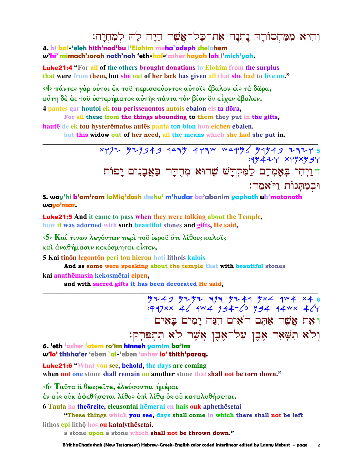# וְהִיא מִמַּחִסוֹרַהּ נַתְנַה אֶת־כַּל־אֲשֶׁר הַיַּה לַה לְמְחָיַה:

4. ki kal-'eleh hith'nad'bu l'Elohim meha`odeph shelahem

w'hi' mimach'sorah nath'nah 'eth-kal-'asher hayah lah l'mich'yah.

**Luke21:4** "For all of the others brought donations to Elohim from the surplus that were from them, but she out of her lack has given all that she had to live on."

<4> πάντες γάρ ούτοι έκ του περισσεύοντος αύτοις έβαλον είς τα δώρα, αὕτη δέ έκ τοῦ ὑστερήματος αὐτῆς πάντα τὸν βίον ὃν εἶχεν ἔβαλεν.

4 pantes gar houtoi ek tou perisseuontos autois ebalon eis ta dōra, For all these from the things abounding to them they put in the gifts,

hautē de ek tou hysterēmatos autēs panta ton bion hon eichen ebalen. but this widow out of her need, all the means which she had she put in.

> $x\gamma$ 72  $y\tau$ 1949 1443 474 Waqy 49449 7477 : 194+24 x49x9 94 הַוַיְהִי בְּאָמְרָם לַמִּקְדָשׁ שֶׁהוּא מְהֻדָּר בַּאֲבָנִים יַפוֹת וּבמתּנוֹת ויּאמר:

5. way'hi b'am'ram laMig'dash shehu' m'hudar ba'abanim yaphoth ub'matanoth wayo'mar.

**Luke21:5** And it came to pass when they were talking about the Temple, how it was adorned with such beautiful stones and gifts, He said,

 $\langle 5 \rangle$  Καί τινων λεγόντων περί του ίερου ότι λίθοις καλοίς

και αναθήμασιν κεκόσμηται είπεν,

5 Kai tinon legonton peri tou hierou hoti lithois kalois

And as some were speaking about the temple that with beautiful stones kai anathēmasin kekosmētai eipen.

and with sacred gifts it has been decorated He said,

 $7243$   $743$   $749$ <br> $742$   $746$   $749$   $749$   $749$   $749$   $749$   $749$   $749$   $749$   $749$   $749$   $749$   $749$ וּאָת אֲשֶׁר אָתֶם רֹאִים הָנֵּה יַמִים בַּאִים וִלֹא תִשָּׁאֵר אֵבֵן עַל־אֵבֵן אֲשֶׁר לֹא תִתְפָּרָק:

6. 'eth 'asher 'atem ro'im hinneh vamim ba'im w'lo' thisha'er 'eben `al-'eben 'asher lo' thith'paraa.

**Luke21:6 "What you see, behold, the days are coming** 

when not one stone shall remain on another stone that shall not be torn down."

<6> Ταύτα ἃ θεωρείτε, έλεύσονται ημέραι

έν αἷς οὐκ ἀφεθήσεται λίθος ἐπὶ λίθῳ ὃς οὐ καταλυθήσεται.

6 Tauta ha theoreite, eleusontai hemerai en hais ouk aphethesetai

"These things which you see, days shall come in which there shall not be left

lithos epi litho hos ou katalythesetai.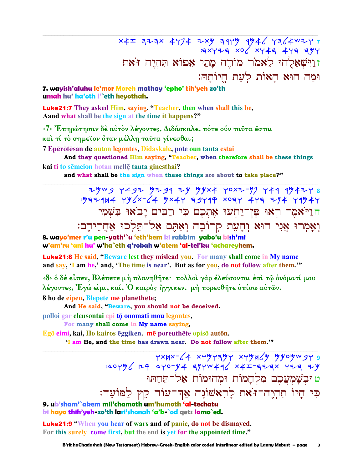$x4x$  azax 4474 zxy a44y 4946 4364 xxy זוישאלהו לאמר מורה מתי אפוא תהיה ז'את וּמַה הוּא הַאוֹת לִעָת הֵיוֹתַהּ:

### 7. wayish'aluhu le'mor Moreh mathay 'epho' tih'yeh zo'th umah hu' ha'oth l'`eth heyothah.

**Luke21:7** They asked Him, saying, "Teacher, then when shall this be, A and what shall be the sign at the time it happens?"

<7> Έπηρώτησαν δέ αύτον λέγοντες, Διδάσκαλε, πότε ούν ταυτα έσται

και τί το σημείον όταν μέλλη ταύτα γίνεσθαι;

7 Epērōtēsan de auton legontes, Didaskale, pote oun tauta estai

And they questioned Him saying, "Teacher, when therefore shall be these things kai ti to sēmeion hotan mellē tauta ginesthai?

and what shall be the sign when these things are about to take place?"

חויאמר ראו פו־יתעו אתכם כי רבים יבאו בשמי וְאָמְרוּ אֲנִי הוּא וְהָעֵת קִרוֹבָה וְאַתֵּם אֲלֹ־תֵּלְכוּ אַחֲרֵיהֵם:

8. wayo'mer r'u pen-yath'`u 'eth'kem ki rabbim yabo'u bish'mi w'am'ru 'ani hu' w'ha`eth q'robah w'atem 'al-tel'ku 'achareyhem.

**Luke21:8** He said, "Beware lest they mislead you. For many shall come in My name and say, 'I am he,' and, 'The time is near'. But as for you, do not follow after them."

<8> ο δέ είπεν, Βλέπετε μή πλανηθήτε· πολλοί γάρ έλεύσονται έπι τω ονόματί μου λέγοντες, Έγώ εἰμι, καί, Ό καιρὸς ἤγγικεν. μὴ πορευθῆτε ὀπίσω αὐτῶν.

8 ho de eipen, Blepete mē planēthēte;

And He said, "Beware, you should not be deceived.

polloi gar eleusontai epi tō onomati mou legontes,

For many shall come in My name saying,

Egō eimi, kai, Ho kairos ēggiken. mē poreuthēte opisō autōn.

'I am He, and the time has drawn near. Do not follow after them."

ט וּבִשָּׁמְעֲכֶם מְלִחֲמוֹת וּמִהוּמוֹת אַל־תֵּחַתּוּ כִּי הַיוֹ תִהְיֶה־זֹּאת לַרְאֹשׁוֹנַה אֲדִ־עוֹד קֵץ לַמּוֹעָד:

9. ub'sham'`akem mil'chamoth um'humoth 'al-techatu ki hayo thih'yeh-zo'th lari'shonah 'a'k-`od gets lamo`ed.

**Luke21:9 "When you hear of wars and of panic, do not be dismayed.** For this surely come first, but the end is yet for the appointed time."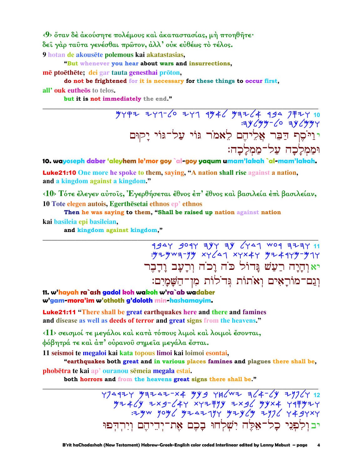$\langle 9 \rangle$  ὄταν δέ άκούσητε πολέμους και άκαταστασίας, μή πτοηθήτε· δεί γάρ ταύτα γενέσθαι πρώτον, άλλ' ούκ εύθέως το τέλος.

9 hotan de akousēte polemous kai akatastasias,

"But whenever you hear about wars and insurrections,

mē ptoēthēte; dei gar tauta genesthai prōton,

do not be frightened for it is necessary for these things to occur first,

all'ouk eutheos to telos.

but it is not immediately the end."

יוליסט<br>יוליסת דַבֶּר אֲלֵיהֵם לֵאמֹר גּוֹי עַל־גּוֹי יַקוּם וּממִלַכָה עַל־מַמְלַכָה:

10. wayoseph daber 'aleyhem le'mor goy `al-goy yaqum umam'lakah `al-mam'lakah.

**Luke21:10** One more he spoke to them, saying, "A nation shall rise against a nation, and a kingdom against a kingdom."

<10> Τότε έλεγεν αύτοις, Έγερθήσεται έθνος έπ' έθνος και βασιλεία έπι βασιλείαν, 10 Tote elegen autois, Egerthesetai ethnos ep' ethnos

Then he was saying to them, "Shall be raised up nation against nation kai basileia epi basileian.

and kingdom against kingdom,"

1947 901 747 74 6741 001 77711 יאוהיה רעש גדול כה וכה ורעב ודבר וְגַם־מוֹרַאָים וְאֹתוֹת גִּדֹלוֹת מִן־הַשַּׁמַיִם:

11. w'hayah ra`ash gadol koh wakoh w'ra`ab wadaber w'gam-mora'im w'othoth g'doloth min-hashamayim.

**Luke21:11 "There shall be great earthquakes here and there and famines** and disease as well as deeds of terror and great signs from the heavens."

<11> σεισμοί τε μεγάλοι και κατά τόπους λιμοί και λοιμοι έσονται, φόβητρά τε καὶ ἀπ' οὐρανοῦ σημεῖα μεγάλα ἔσται.

11 seismoi te megaloi kai kata topous limoi kai loimoi esontai,

"earthquakes both great and in various places famines and plagues there shall be, phobētra te kai ap' ouranou sēmeia megala estai.

both horrors and from the heavens great signs there shall be."

 $774977 797247-x4 779 782404 x + 164724 12$  77447 7487 7484 74757 7484 74757<br>7443 744 7474 7484 7494 7494 7494 7494 יבולפני כל־אֱלֵה יִשְׁלְחוּ בַכֶם אֶת־יִדִיהֵם וְיִרְדִּפוּ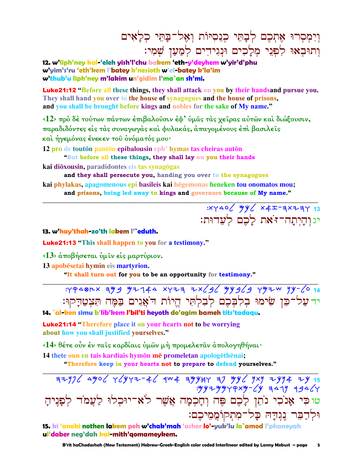# וִיִמְסְרוּ אֶתְכֶם לְבָחֵי כְנֵסְיּוֹת וְאָל־בַחֵּי כְלַאִים וְתוּבְאוּ לְפָנֵי מִלֲכִים וּנְגִידִים לְמַעֲן שָׁמִי:

12. w'liph'ney kal-'eleh vish'l'chu bakem 'eth-y'deyhem w'vir'd'phu w'yim's'ru 'eth'kem l'batey k'nesioth w'el-batey k'la'im w'thub'u liph'ney m'lakim un'gidim l'ma`an sh'mi.

**Luke21:12 "**Before all these things, they shall attack on you by their handsand pursue you. They shall hand you over to the house of synagogues and the house of prisons, and you shall be brought before kings and nobles for the sake of My name."

<12> πρό δέ τούτων πάντων έπιβαλοῦσιν έφ' ύμας τας χείρας αὐτῶν καὶ διώξουσιν, παραδιδόντες είς τας συναγωγάς και φυλακάς, απαγομένους έπι βασιλείς και ήγεμόνας ένεκεν του ονόματός μου·

12 pro de touton panton epibalousin eph' hymas tas cheiras auton

"But before all these things, they shall lay on you their hands

kai dioxousin, paradidontes eis tas synagogas

and they shall persecute you, handing you over to the synagogues

kai phylakas, apagomenous epi basileis kai hēgemonas heneken tou onomatos mou; and prisons, being led away to kings and governors because of My name."

> $XY40$   $YY$   $XZ$   $XZ-7XZ7$ יג והיתה־זֹאת לַכֵם לִעֲדוּת:

13. w'hay'thah-zo'th lakem l'`eduth.

**Luke21:13** "This shall happen to you for a testimony."

<13> άποβήσεται ύμιν είς μαρτύριον.

13 apobēsetai hymin eis martyrion.

"It shall turn out for you to be an opportunity for testimony."

: 49481x 399 92744 x 723 2x 36 94969 492W 94-60 14 יד על־כֵּן שִׂימוּ בִלְבָּכֶם לְבָלְתִּי הֵיוֹת דֹאֲגִים בַּמֵּה תִּצְטַדַקוּ: 14. `al-ken simu b'lib'kem l'bil'ti heyoth do'agim bameh tits'tadagu.

**Luke21:14 "Therefore place it on your hearts not to be worrying** about how you shall justified yourselves."

<14> θέτε οὖν έν ταῖς καρδίαις ὑμῶν μή προμελετᾶν ἀπολογηθῆναι·

14 thete oun en tais kardiais hymon me promeletan apologethenai;

"Therefore keep in your hearts not to prepare to defend yourselves."

 $77/2$  4yo  $\sqrt{777-4}$  4w  $\frac{1}{2}$  4yyu  $\frac{1}{2}$  4yy  $\frac{1}{2}$  4yy  $\frac{1}{2}$  4y  $:$  "yyzy"yqx"y-6" 347" 1946 טוכי אָנֹכִי נֹתֵן לָכֶם פֶּה וְחָכְמָה אֲשֶׁר לֹא־יוּכִלוּ לַעֲמֹד לִפַּנִיהַ וּלְדַבֵּר נֵגְדַהּ כָל־מִתְקוֹמֲמֵיכֶם:

15. ki 'anoki nothen lakem peh w'chak'mah 'asher lo'-yuk'lu la`amod l'phaneyah ul'daber neg'dah kal-mith'aomamevkem.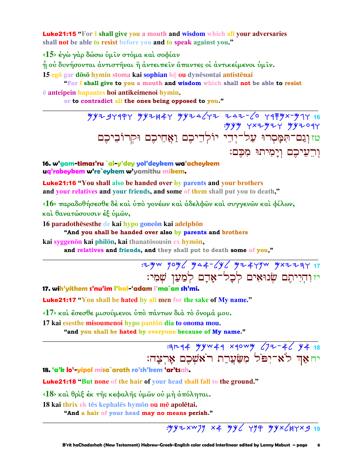**Luke21:15** "For I shall give you a mouth and wisdom which all your adversaries shall not be able to resist before you and to speak against you."

<15> έγώ γάρ δώσω ύμιν στόμα και σοφίαν

ή ού δυνήσονται άντιστήναι ή άντειπείν άπαντες οί άντικείμενοι ύμίν.

15 egō gar dōsō hymin stoma kai sophian hē ou dynēsontai antistēnai

"For I shall give to you a mouth and wisdom which shall not be able to resist ē anteipein hapantes hoi antikeimenoi hymin.

or to contradict all the ones being opposed to you."

 $799797977$   $79979797977$   $799742777$   $79979797$   $7999797$   $7999797$   $7999797$   $799997$   $7999999$   $7999999$   $7999999$   $7999999$   $7999999$   $7999999$   $7999999$   $7999999$   $7999999$   $7999999$   $7999999$   $7999999$   $7999999$   $79$ : yyy yxzyzy yyzoqy ...<br>טז וְגַם־הִמָּסְרוּ עַל־יְדֵי יוֹלְדֵיכֶם וַאֲחֵיכֵם וּקִרוֹבִיכֵם וַרֵעֵיכֵם וְיָמִיתוּ מִכֶּם:

16. w'gam-timas'ru `al-y'dey yol'deykem wa'acheykem ug'robeykem w're`eykem w'yamithu mikem.

**Luke21:16 "You shall also be handed over by parents and your brothers** and your relatives and your friends, and some of them shall put you to death,"

<16> παραδοθήσεσθε δέ και ύπο γονέων και άδελφων και συγγενών και φίλων, και θανατώσουσιν έξ υμών,

16 paradothesesthe de kai hypo goneon kai adelphon

"And you shall be handed over also by parents and brothers

kai svegenōn kai philōn, kai thanatōsousin ex hymōn,

and relatives and friends, and they shall put to death some of you,"

: 2yw yoy / ya + - 1y / y 2 + 4 y w y x 2 2 3 Y 17 יז והייתם שנואים לכל־אָדָם לִמַעַן שִׁמִי:

17. wih'yithem s'nu'im l'kal-'adam l'ma`an sh'mi.

**Luke21:17** "You shall be hated by all men for the sake of My name."

<17> και έσεσθε μισούμενοι υπό πάντων διά το όνομά μου.

17 kai esesthe misoumenoi hypo pantōn dia to onoma mou. "and you shall be hated by everyone because of My name."

> **344 Hyw44 x40wy (72-46 44 18)** יחאַד לֹא־יִפֹּל מִשַּׂעֲרַת רֹאשִׁכֵם אֲרִצָה:

18. 'a'k lo'-yipol misa`arath ro'sh'kem 'ar'tsah.

**Luke21:18 "But none of the hair of your head shall fall to the ground."** 

<18> και θριξ έκ της κεφαλής ύμων ού μη άπόληται.

18 kai thrix ek tēs kephalēs hymon ou mē apolētai.

"And a hair of your head may no means perish."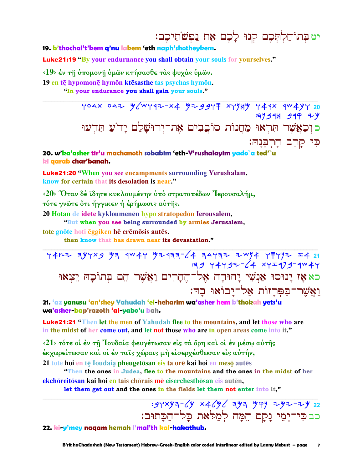# יט בְתוֹחַלְתְּכֶם קִנוּ לַבֶם אֶת נַפְשֹׁתֵיכֶם:

### 19. b'thochal't'kem q'nu lakem 'eth naph'shotheykem.

**Luke21:19 "**By your endurnance you shall obtain your souls for yourselves."

<19> έν τη ύπομονη ύμων κτήσασθε τας ψυχας ύμων.

19 en tē hypomonē hymōn ktēsasthe tas psychas hymōn.

"In your endurance you shall gain your souls."

YOAX OAZ M/WY9Z-X4 MZ99YF XYYHY Y49X 9W4YY 20 **:37944 944 ZV** כוכאֲשֶׁר תְּרְאוּ מַחֲנוֹת סוֹבֵבִים אֶת־יִרוּשַׁלַם יַד´עַ תִּדְעוּ כִּי קַרַב חָרִבָּנָהּ:

### 20. w'ka'asher tir'u machanoth sobabim 'eth-Y'rushalayim yado`a ted'`u ki qarab char'banah.

Luke21:20 "When you see encampments surrounding Yerushalam, know for certain that its desolation is near."

<20> Όταν δέ ίδητε κυκλουμένην ύπό στρατοπέδων 'Iερουσαλήμ, τότε γνώτε ὄτι ἤγγικεν ή έρήμωσις αύτης.

20 Hotan de idēte kykloumenēn hypo stratopedōn Ierousalēm,

"But when you see being surrounded by armies Jerusalem.

tote gnōte hoti ēggiken hē erēmōsis autēs.

then know that has drawn near its devastation."

 $Y4F+7$  ayyxg ya qw4y y24aa-64 asyaz zwy4 y7yyz I4 21  $3944497^{2}$  XYI479-4W4Y כא אַז יַנוּסוּ אַנְשִׁי יַחוּדַה אֵל־הֵהַרִים וַאֲשֵׁר הֵם בְּתוֹכָהּ יֵצְאוּ ואַשר־בַפְּרְזוֹת אַל־יַבוֹאוּ בַהּ:

21. 'az yanusu 'an'shey Yahudah 'el-heharim wa'asher hem b'thokah yets'u wa'asher bap'razoth 'al-yabo'u bah.

**Luke21:21 "Then let the men of Yahudah flee to the mountains, and let those who are** in the midst of her come out, and let not those who are in open areas come into it."

 $\langle 21 \rangle$  τότε οι έν τη Ιουδαία φευγέτωσαν είς τα όρη και οι έν μέσω αυτής έκχωρείτωσαν καὶ οἱ ἐν ταῖς χώραις μὴ εἰσερχέσθωσαν εἰς αὐτήν, 21 tote hoi en tē Ioudaia pheugetōsan eis ta orē kai hoi en mesō autēs

"Then the ones in Judea, flee to the mountains and the ones in the midst of her ekchōreitōsan kai hoi en tais chōrais mē eiserchesthōsan eis autēn,

let them get out and the ones in the fields let them not enter into it,"

## $: 94xy = 6y \times 46y6$  = 44 444 444 + 442 + 442 כבבי־יִמֵי נַקַם הֵמֵה לִמֲלֹאת כָל־הַכַּתוּב:

22. ki-y'mey naqam hemah l'mal'th kal-hakathub.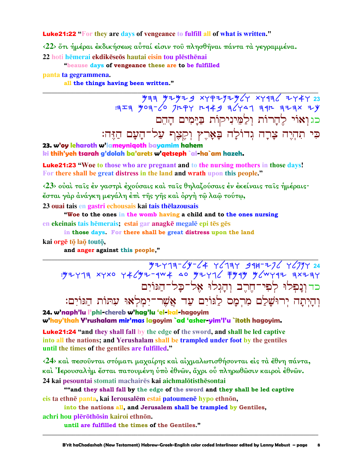**Luke21:22** "For they are days of vengeance to fulfill all of what is written."

<22> στι ήμέραι έκδικήσεως αύταί είσιν του πλησθήναι πάντα τα γεγραμμένα. 22 hoti hēmerai ekdikēseōs hautai eisin tou plēsthēnai

"beause days of vengeance these are to be fulfilled

panta ta gegrammena.

all the things having been written."

 $\frac{44}{9}$  =  $\frac{14}{9}$  =  $\frac{14}{9}$  =  $\frac{14}{9}$  =  $\frac{14}{9}$  =  $\frac{14}{9}$  =  $\frac{14}{9}$  =  $\frac{14}{9}$  =  $\frac{14}{9}$  =  $\frac{14}{9}$  =  $\frac{14}{9}$  =  $\frac{14}{9}$  =  $\frac{14}{9}$  =  $\frac{14}{9}$  =  $\frac{14}{9}$  =  $\frac{14}{9}$  =  $\frac{14}{9}$  = כגואוי להרות ולמיניקות בימים ההם כִּי תִהְיֶה צָרָה גִדוֹלָה בָּאָרֵץ וִקֵצֶף עַל־הָעָם הַזֶּה:

23. w'oy leharoth w'lameynigoth bayamim hahem ki thih'yeh tsarah g'dolah ba'arets w'qetseph `al-ha`am hazeh.

**Luke21:23 "Woe to those who are pregnant and to the nursing mothers in those days!** For there shall be great distress in the land and wrath upon this people."

<23> ούαι ταίς έν γαστρι έχούσαις και ταίς θηλαζούσαις έν έκείναις ταίς ήμέραις· έσται γάρ άνάγκη μεγάλη έπι της γης και όργη τω λαω τούτω,

23 quai tais en gastri echousais kai tais the lazousais

"Woe to the ones in the womb having a child and to the ones nursing en ekeinais tais hēmerais; estai gar anagkē megalē epi tēs gēs

in those days. For there shall be great distress upon the land kai orgē tō laō toutō,

and anger against this people,"

 $245 - 29 - 64$  + 12+74+ 45 + 12+2+ 45+2+ 40<br>۳۶+۶+ ۳۶+۳/۳ ۳۴۳+ 12+2+ ۵۵ +۳۴+2+۳/2+ ۲۵+2++ כד ונפלו לפי־חרב והגלו אל־כל־הגוים וְהַיְתָה יְרוּשָׁלַם מְרִמָּס לַגּוֹיָם עַד אֲשֶׁר־יִמְלְאוּ עִתּוֹת הַגּוֹיִם:

24. w'naph'lu l'phi-chereb w'hag'lu 'el-kal-hagovim w'hay'thah Y'rushalam mir'mas lagoyim `ad 'asher-yim'l'u `itoth hagoyim.

**Luke21:24 "and they shall fall by the edge of the sword, and shall be led captive** into all the nations; and Yerushalam shall be trampled under foot by the gentiles until the times of the gentiles are fulfilled."

 $\langle 24 \rangle$  καί πεσούνται στόματι μαχαίρης και αίχμαλωτισθήσονται είς τα έθνη πάντα, καὶ Ἰερουσαλὴμ ἔσται πατουμένη ὑπὸ ἐθνῶν, ἄχρι οὗ πληρωθῶσιν καιροὶ ἐθνῶν. 24 kai pesountai stomati machairēs kai aichmalōtisthēsontai

""and they shall fall by the edge of the sword and they shall be led captive eis ta ethnē panta, kai Ierousalēm estai patoumenē hypo ethnōn,

into the nations all, and Jerusalem shall be trampled by Gentiles, achri hou plērōthōsin kairoi ethnōn.

until are fulfilled the times of the Gentiles."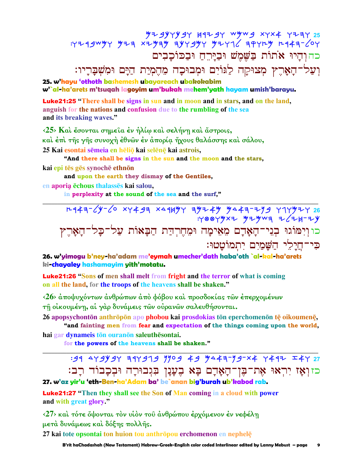# כה והיו אתות בַּשָּׁמֵשׁ וּבַיַּרְחַ וּבַכּוֹכָבִים

# וְעַל־הָאָרֵץ מְצוּקַה לַגּוֹיִם וּמִבוּכָה מֵהֵמְיַת הַיַּם וּמִשְׁבַּרֵיו:

25. w'hayu 'othoth bashemesh ubayareach ubakokabim w'`al-ha'arets m'tsuqah lagoyim um'bukah mehem'yath hayam umish'barayu.

**Luke21:25** "There shall be signs in sun and in moon and in stars, and on the land, anguish for the nations and confusion due to the rumbling of the sea and its breaking waves."

 $\langle 25 \rangle$  Kai έσονται σημεία έν ήλίω και σελήνη και άστροις, καὶ ἐπὶ τῆς γῆς συνοχὴ ἐθνῶν ἐν ἀπορία ἤχους θαλάσσης καὶ σάλου, 25 Kai esontai sēmeia en hēliō kai selēnē kai astrois,

"And there shall be signs in the sun and the moon and the stars, kai epi tēs gēs synochē ethnōn

and upon the earth they dismay of the Gentiles,

en aporia ēchous thalasses kai salou,

in perplexity at the sound of the sea and the surf,"

 $T+44=$   $\sqrt{y}-\sqrt{0}$  xy  $493$  x  $\sqrt{49}$  y  $\sqrt{49}-4$  y  $\sqrt{49}-1$  y  $\sqrt{49}-1$   $\sqrt{26}$  $:Y\otimes Y$  yx y y z y w =  $ZZ+Y+Y$ כו וְיִמּוֹגוּ בְגֵי־הָאָדָם מֵאֵימָה וּמֵחֶרְדַּת הַבָּאוֹת עַל־כָּל־הָאָרֶץ כִּי־חֲיַלֵי הַשֲׁמַיָם יְתְמוֹטֲטוּ:

26. w'yimogu b'ney-ha'adam me'eymah umecher'dath haba'oth `al-kal-ha'arets ki-chayaley hashamayim yith'motatu.

**Luke21:26 "Sons of men shall melt from fright and the terror of what is coming** on all the land, for the troops of the heavens shall be shaken."

<26> άποψυχόντων άνθρώπων άπό φόβου και προσδοκίας των έπερχομένων

τη οικουμένη, αί γάρ δυνάμεις των ουρανων σαλευθήσονται.

26 apopsychontōn anthrōpōn apo phobou kai prosdokias tōn eperchomenōn tē oikoumenē,

"and fainting men from fear and expectation of the things coming upon the world, hai gar dynameis tōn ouranōn saleuthēsontai.

for the powers of the heavens shall be shaken."

:91 4Y9Y9Y 31Y919 7709 49 7443-79-X4 7417 I4Y 27 כזוְאָז יִרְאוּ אֶת־בֶּן־הָאָדָם בָּא בֶעֲנָן בִּנְבוּרָה וּבִכָבוֹד רָב:

## 27. w'az yir'u 'eth-Ben-ha'Adam ba' be`anan big'burah ub'kabod rab.

**Luke21:27** "Then they shall see the Son of Man coming in a cloud with power and with great glory."

<27> και τότε ὄψονται τον υίον του άνθρώπου έρχόμενον έν νεφέλη μετά δυνάμεως και δόξης πολλής.

27 kai tote opsontai ton huion tou anthrōpou erchomenon en nephelę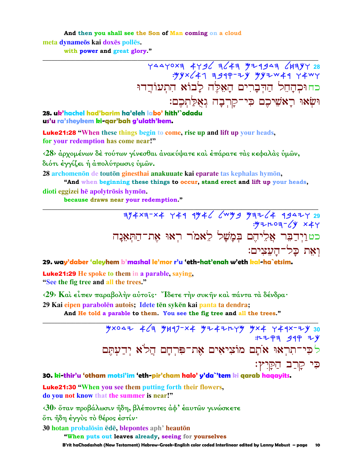And then you shall see the Son of Man coming on a cloud meta dynameōs kai doxēs pollēs. with power and great glory."

> 74470X3 74736 7443 74444 7447024<br>۳۳4۲ 7444 7444 7445 747×44: כחוּכְהַחֵל הַדִּבְרִים הַאָּלָה לַבוֹא הִתְעוֹדֵדוּ וּשָׂאוּ רַאשִׁיכֵם כִּי־קַרִבָה גִאָּלַתְכֶם:

28. uk'hachel had'barim ha'eleh labo' hith'`odadu us'u ra'sheykem ki-qar'bah g'ulath'kem.

**Luke21:28** "When these things begin to come, rise up and lift up your heads, for your redemption has come near!"

<28> άρχομένων δέ τούτων γίνεσθαι άνακύψατε και έπάρατε τας κεφαλάς υμών, διότι έγγίζει ή απολύτρωσις υμών.

28 archomenon de touton ginesthai anakuuate kai eparate tas kephalas hymon,

"And when beginning these things to occur, stand erect and lift up your heads, dioti eggizei hē apolytrōsis hymōn.

because draws near your redemption."

 $7/4 \times 7 - \times 4$  749 9946 6 99 97264 99427 29  $\frac{1}{2}$   $\frac{1}{2}$   $\frac{1}{2}$   $\frac{1}{2}$   $\frac{1}{2}$   $\frac{1}{2}$   $\frac{1}{2}$   $\frac{1}{2}$   $\frac{1}{2}$   $\frac{1}{2}$   $\frac{1}{2}$   $\frac{1}{2}$   $\frac{1}{2}$   $\frac{1}{2}$   $\frac{1}{2}$   $\frac{1}{2}$   $\frac{1}{2}$   $\frac{1}{2}$   $\frac{1}{2}$   $\frac{1}{2}$   $\frac{1}{2}$   $\frac{1}{2}$  כטוַיִדַבֶּר אֲלֵיהֵם בִּמֲשָׁל לֵאמֹר רְאוּ אֶת־הַתְּאָנָה ואַת כַּל־הַעֲצִים:

29. way'daber 'aleyhem b'mashal le'mor r'u 'eth-hat'enah w'eth kal-ha`etsim.

**Luke21:29** He spoke to them in a parable, saying, "See the fig tree and all the trees."

<29> Και είπεν παραβολήν αύτοις· "Ιδετε τήν συκήν και πάντα τα δένδρα·

29 Kai eipen parabolēn autois; Idete tēn sykēn kai panta ta dendra;

And He told a parable to them. You see the fig tree and all the trees."

 $464$   $464$   $464$   $4417-x4$   $471+x$ <br> $471+x$ <br> $471+x$ : 12 P = 34 P = y לכי־תִרְאוּ אֹתָם מוֹצִיאִים אֶת־פִּרְחָם הֲלֹא יִדְעַתֵּם כִּי קַרַב הַקַּיִץ׃

#### 30. ki-thir'u 'otham motsi'im 'eth-pir'cham halo' y'da`'tem ki qarab haqayits.

**Luke21:30** "When you see them putting forth their flowers, do you not know that the summer is near!"

<30> ὅταν προβάλωσιν ἤδη, βλέποντες ἀφ' έαυτῶν γινώσκετε ότι ήδη έγγυς το θέρος έστίν·

30 hotan probalosin ede, blepontes aph<sup>3</sup> heauton

"When puts out leaves already, seeing for yourselves

B'rit haChadashah (New Testament) Hebrew-Greek-English color coded Interlinear edited by Lanny Mebust - page 10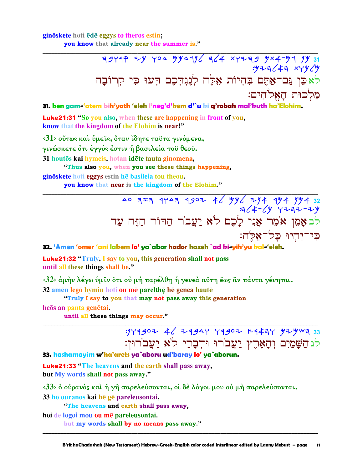#### ginoskete hoti ede eggys to the ros estin; you know that already near the summer is."

לֹא כֵּן גַּם־אַתֶּם בִּהְיוֹת אֵלֶּה לְנֶגְהְכֶם הָעוּ כִּי קְרוֹבָה מלכוּת האלֹהים:

31. ken gam-'atem bih'yoth 'eleh I'neg'd'kem d'`u ki q'robah mal'kuth ha'Elohim.

**Luke21:31** "So you also, when these are happening in front of you, know that the kingdom of the Elohim is near!"

 $\langle 31 \rangle$  ούτως και ύμεις, όταν ίδητε ταυτα γινόμενα, γινώσκετε ότι έγγύς έστιν ή βασιλεία του θεου.

31 houtos kai hymeis, hotan idete tauta ginomena,

"Thus also you, when you see these things happening,

ginöskete hoti eggys estin he basileia tou theou.

you know that near is the kingdom of the Elohim."

לבאָמֵן אֹמֵר אֲנִי לָכֶם לֹא יַעֲבֹר הַהִּוֹר הַזֶּה עַד כי־יחיוּ כל־אלה:

32. 'Amen 'omer 'ani lakem lo' ya`abor hador hazeh `ad ki-yih'yu kal-'eleh.

**Luke21:32 "Truly, I say to you, this generation shall not pass** until all these things shall be."

 $\langle 32 \rangle$  άμήν λέγω ύμιν ότι ού μή παρέλθη ή γενεά αύτη έως αν πάντα γένηται.

32 amen legō hymin hoti ou me parelthe he genea haute

"Truly I say to you that may not pass away this generation

heos an panta genetai.

until all these things may occur."

:14902 46 29944 49902 29474 42444 לגהַשָּׁמַיִם וְהָאָרֶץ יַעֲבורוּ וּהְבָרֵי לֹא יַעֲבורוּן:

33. hashamayim w'ha'arets ya`aboru ud'baray lo' ya`aborun.

**Luke21:33 "The heavens and the earth shall pass away,** but My words shall not pass away."

<33> ὁ οὐρανὸς καὶ ή γῆ παρελεύσονται, οἱ δὲ λόγοι μου οὐ μὴ παρελεύσονται.

33 ho ouranos kai hē gē pareleusontai,

"The heavens and earth shall pass away,

hoi de logoi mou ou me pareleusontai.

but my words shall by no means pass away."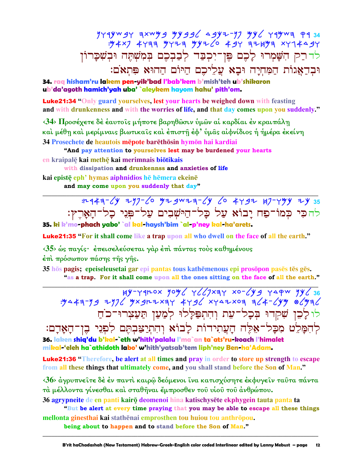לדרק הִשָּׁמְרוּ לָכֶם פֶּן־יִכְבַּד לְבַבְכֶם בְּמִשְׁתֶּה וּבְשִׁבָּרוֹן וּבְדַאֲגוֹת הַמִּחְיָה וּבָא עֲלֵיכֵם הַיּוֹם הַהוּא פִּתְאֹם:

34. rag hisham'ru lakem pen-yik'bad l'bab'kem b'mish'teh ub'shikaron ub'da'agoth hamich'yah uba' `aleykem hayom hahu' pith'om.

**Luke21:34 "Only guard yourselves, lest your hearts be weighed down with feasting** and with drunkenness and with the worries of life, and that day comes upon you suddenly."

<34> Προσέχετε δέ έαυτοις μήποτε βαρηθώσιν υμών αι καρδίαι έν κραιπάλη και μέθη και μερίμναις βιωτικαίς και έπιστη έφ' ύμας αιφνίδιος ή ήμέρα έκείνη 34 Prosechete de heautois mēpote barēthōsin hymōn hai kardiai

"And pay attention to yourselves lest may be burdened your hearts en kraipalē kai methē kai merimnais biōtikais

with dissipation and drunkennss and anxieties of life kai epistē eph' hymas aiphnidios hē hēmera ekeinē and may come upon you suddenly that day"

> :r-943-64 297-60 42 gwza-64 60 4492 47-444 24 35 להכִּי כְּמֹוֹ־פַח יָבוֹא עַל כָּל־הַיּשְׁבִים עַל־פִּנִי כָל־הָאָרֶץ:

35. ki k'mo-phach yabo' `al kal-haysh'bim `al-p'ney kal-ha'arets.

**Luke21:35 "For it shall come like a trap upon all who dwell on the face of all the earth."** 

<35> ώς παγίς· έπεισελεύσεται γάρ έπι πάντας τους καθημένους

έπι πρόσωπον πάσης της γής.

35 hōs pagis; epeiseleusetai gar epi pantas tous kathēmenous epi prosōpon pasēs tēs gēs.

"as a trap. For it shall come upon all the ones sitting on the face of all the earth."

 $\frac{189}{1944336}$   $\frac{189}{1944336}$   $\frac{189}{1944336}$   $\frac{189}{1944336}$   $\frac{189}{1944336}$   $\frac{189}{1944336}$   $\frac{189}{1944336}$   $\frac{189}{1944336}$   $\frac{189}{1944336}$   $\frac{189}{1944336}$   $\frac{189}{1944336}$   $\frac{189}{1944336}$   $\frac{1$ לולכן שקדו בכל־עת והתפללו למען תעצרו־כת לְהִמַּלִט מִכַּל־אֵלֵה הַעֲתִידוֹת לַבוֹא וְהִתְיַצַּבְתֵּם לִפְנֵי בֶן־הָאָדָם:

36. laken shiq'du b'kal-`eth w'hith'palalu l'ma`an ta`ats'ru-koach l'himalet mikal-'eleh ha`athidoth labo' w'hith'yatsab'tem liph'ney Ben-ha'Adam.

**Luke21:36** "Therefore, be alert at all times and pray in order to store up strength to escape from all these things that ultimately come, and you shall stand before the Son of Man."

<36> άγρυπνείτε δέ έν παντί καιρώ δεόμενοι ίνα κατισχύσητε έκφυγείν ταύτα πάντα τά μέλλοντα γίνεσθαι και σταθήναι έμπροσθεν του υίου του άνθρώπου.

36 agrypneite de en panti kairo deomenoi hina katischysete ekphygein tauta panta ta "But be alert at every time praying that you may be able to escape all these things

mellonta ginesthai kai stathēnai emprosthen tou huiou tou anthrōpou.

being about to happen and to stand before the Son of Man."